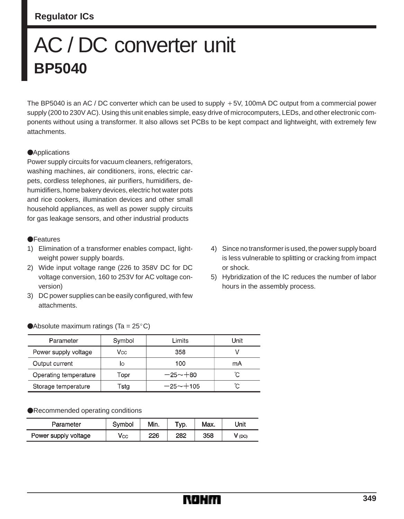# **Regulator ICs**

# AC / DC converter unit **BP5040**

The BP5040 is an AC / DC converter which can be used to supply  $+5V$ , 100mA DC output from a commercial power supply (200 to 230V AC). Using this unit enables simple, easy drive of microcomputers, LEDs, and other electronic components without using a transformer. It also allows set PCBs to be kept compact and lightweight, with extremely few attachments.

#### **Applications**

Power supply circuits for vacuum cleaners, refrigerators, washing machines, air conditioners, irons, electric carpets, cordless telephones, air purifiers, humidifiers, dehumidifiers, home bakery devices, electric hot water pots and rice cookers, illumination devices and other small household appliances, as well as power supply circuits for gas leakage sensors, and other industrial products

#### **OF**eatures

- 1) Elimination of a transformer enables compact, lightweight power supply boards.
- 2) Wide input voltage range (226 to 358V DC for DC voltage conversion, 160 to 253V for AC voltage conversion)
- 3) DC power supplies can be easily configured, with few attachments.
- 4) Since no transformer is used, the power supply board is less vulnerable to splitting or cracking from impact or shock.
- 5) Hybridization of the IC reduces the number of labor hours in the assembly process.

| Parameter             | Symbol | Limits       | Unit |
|-----------------------|--------|--------------|------|
| Power supply voltage  | Vcc    | 358          |      |
| Output current        | lо     | 100          | mA   |
| Operating temperature | Topr   | $-25 - +80$  | °C   |
| Storage temperature   | Tsta   | $-25 - +105$ | ĈС   |

#### Recommended operating conditions

| Parameter            | Symbol       | Min. | $\tau_{VD}$ . | Max. | Unit     |
|----------------------|--------------|------|---------------|------|----------|
| Power supply voltage | $V_{\rm CC}$ | 226  | 282           | 358  | $V$ (DC) |

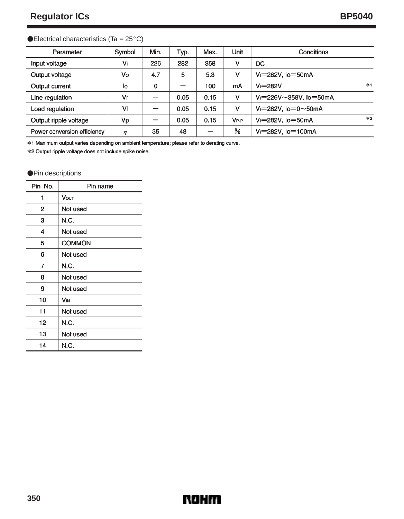### $\blacktriangleright$  Electrical characteristics (Ta = 25 $^{\circ}$ C)

| Parameter                   | Symbol | Min. | Typ. | Max. | Unit      | Conditions                        |      |
|-----------------------------|--------|------|------|------|-----------|-----------------------------------|------|
| Input voltage               | Vı     | 226  | 282  | 358  | v         | DC                                |      |
| Output voltage              | Vo     | 4.7  | 5    | 5.3  | v         | $V = 282V$ , $I_0 = 50mA$         |      |
| Output current              | lo     | 0    |      | 100  | mA        | $V = 282V$                        | $*1$ |
| Line regulation             | Vr     |      | 0.05 | 0.15 | v         | $V = 226V \sim 358V$ , $I = 50mA$ |      |
| Load regulation             | VI     |      | 0.05 | 0.15 | v         | $V = 282V$ . lo=0~50mA            |      |
| Output ripple voltage       | Vp     |      | 0.05 | 0.15 | $V_{P-P}$ | $V = 282V$ , $I_0 = 50$ mA        | $*2$ |
| Power conversion efficiency | η      | 35   | 48   | -    | %         | $V = 282V$ , $I = 100mA$          |      |

\*1 Maximum output varies depending on ambient temperature; please refer to derating curve.

\*2 Output ripple voltage does not include spike noise.

#### **OPin descriptions**

| Pin No. | Pin name      |  |  |
|---------|---------------|--|--|
| 1       | <b>Vout</b>   |  |  |
| 2       | Not used      |  |  |
| 3       | N.C.          |  |  |
| 4       | Not used      |  |  |
| 5       | <b>COMMON</b> |  |  |
| 6       | Not used      |  |  |
| 7       | N.C.          |  |  |
| 8       | Not used      |  |  |
| 9       | Not used      |  |  |
| 10      | VIN           |  |  |
| 11      | Not used      |  |  |
| 12      | N.C.          |  |  |
| 13      | Not used      |  |  |
| 14      | N.C.          |  |  |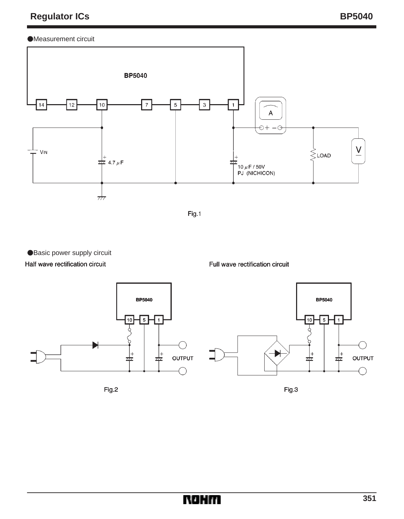# Measurement circuit





● Basic power supply circuit

# Half wave rectification circuit



Fig.2

Full wave rectification circuit



Fig.3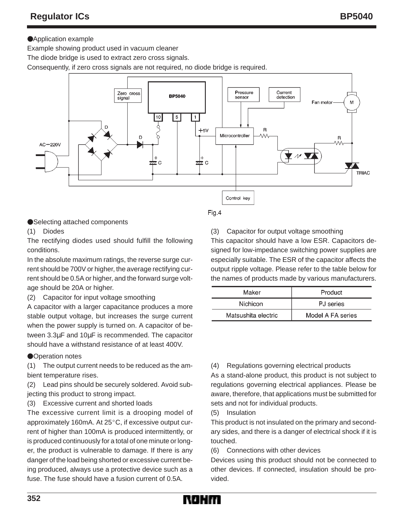# **Application example**

Example showing product used in vacuum cleaner

The diode bridge is used to extract zero cross signals.

Consequently, if zero cross signals are not required, no diode bridge is required.



#### ●Selecting attached components

(1) Diodes

The rectifying diodes used should fulfill the following conditions.

In the absolute maximum ratings, the reverse surge current should be 700V or higher, the average rectifying current should be 0.5A or higher, and the forward surge voltage should be 20A or higher.

(2) Capacitor for input voltage smoothing

A capacitor with a larger capacitance produces a more stable output voltage, but increases the surge current when the power supply is turned on. A capacitor of between 3.3µF and 10µF is recommended. The capacitor should have a withstand resistance of at least 400V.

### **ODeration notes**

(1) The output current needs to be reduced as the ambient temperature rises.

(2) Lead pins should be securely soldered. Avoid subjecting this product to strong impact.

(3) Excessive current and shorted loads

The excessive current limit is a drooping model of approximately 160mA. At 25°C, if excessive output current of higher than 100mA is produced intermittently, or is produced continuously for a total of one minute or longer, the product is vulnerable to damage. If there is any danger of the load being shorted or excessive current being produced, always use a protective device such as a fuse. The fuse should have a fusion current of 0.5A.

Fig.4

(3) Capacitor for output voltage smoothing

This capacitor should have a low ESR. Capacitors designed for low-impedance switching power supplies are especially suitable. The ESR of the capacitor affects the output ripple voltage. Please refer to the table below for the names of products made by various manufacturers.

| Maker               | Product           |  |  |
|---------------------|-------------------|--|--|
| Nichicon            | PJ series         |  |  |
| Matsushita electric | Model A FA series |  |  |

### (4) Regulations governing electrical products

As a stand-alone product, this product is not subject to regulations governing electrical appliances. Please be aware, therefore, that applications must be submitted for sets and not for individual products.

(5) Insulation

This product is not insulated on the primary and secondary sides, and there is a danger of electrical shock if it is touched.

(6) Connections with other devices

Devices using this product should not be connected to other devices. If connected, insulation should be provided.

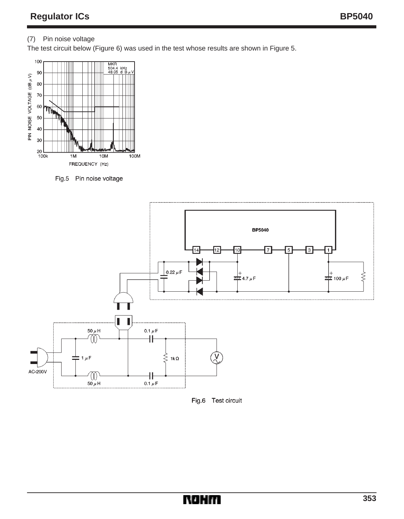# (7) Pin noise voltage

The test circuit below (Figure 6) was used in the test whose results are shown in Figure 5.



Fig.5 Pin noise voltage



Fig.6 Test circuit